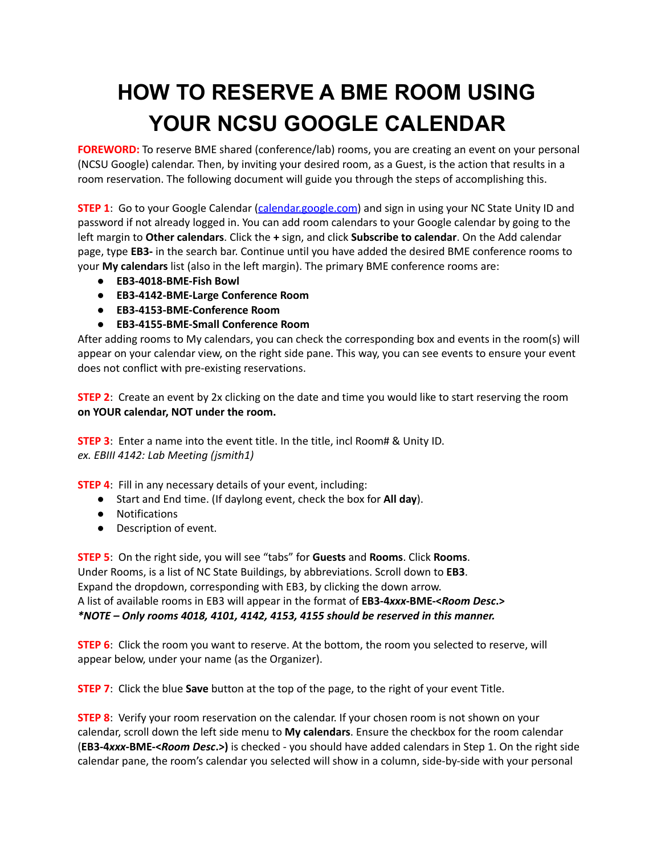## **HOW TO RESERVE A BME ROOM USING YOUR NCSU GOOGLE CALENDAR**

**FOREWORD:** To reserve BME shared (conference/lab) rooms, you are creating an event on your personal (NCSU Google) calendar. Then, by inviting your desired room, as a Guest, is the action that results in a room reservation. The following document will guide you through the steps of accomplishing this.

**STEP 1**: Go to your Google Calendar [\(calendar.google.com](https://calendar.google.com/)) and sign in using your NC State Unity ID and password if not already logged in. You can add room calendars to your Google calendar by going to the left margin to **Other calendars**. Click the **+** sign, and click **Subscribe to calendar**. On the Add calendar page, type **EB3-** in the search bar. Continue until you have added the desired BME conference rooms to your **My calendars** list (also in the left margin). The primary BME conference rooms are:

- **● EB3-4018-BME-Fish Bowl**
- **● EB3-4142-BME-Large Conference Room**
- **● EB3-4153-BME-Conference Room**
- **● EB3-4155-BME-Small Conference Room**

After adding rooms to My calendars, you can check the corresponding box and events in the room(s) will appear on your calendar view, on the right side pane. This way, you can see events to ensure your event does not conflict with pre-existing reservations.

**STEP 2:** Create an event by 2x clicking on the date and time you would like to start reserving the room **on YOUR calendar, NOT under the room.**

**STEP 3**: Enter a name into the event title. In the title, incl Room# & Unity ID. *ex. EBIII 4142: Lab Meeting (jsmith1)*

**STEP 4**: Fill in any necessary details of your event, including:

- Start and End time. (If daylong event, check the box for **All day**).
- Notifications
- Description of event.

**STEP 5**: On the right side, you will see "tabs" for **Guests** and **Rooms**. Click **Rooms**. Under Rooms, is a list of NC State Buildings, by abbreviations. Scroll down to **EB3**. Expand the dropdown, corresponding with EB3, by clicking the down arrow. A list of available rooms in EB3 will appear in the format of **EB3-4***xxx***-BME-<***Room Desc***.>** *\*NOTE – Only rooms 4018, 4101, 4142, 4153, 4155 should be reserved in this manner.*

**STEP 6**: Click the room you want to reserve. At the bottom, the room you selected to reserve, will appear below, under your name (as the Organizer).

**STEP 7**: Click the blue **Save** button at the top of the page, to the right of your event Title.

**STEP 8**: Verify your room reservation on the calendar. If your chosen room is not shown on your calendar, scroll down the left side menu to **My calendars**. Ensure the checkbox for the room calendar (**EB3-4***xxx***-BME-<***Room Desc***.>)** is checked - you should have added calendars in Step 1. On the right side calendar pane, the room's calendar you selected will show in a column, side-by-side with your personal